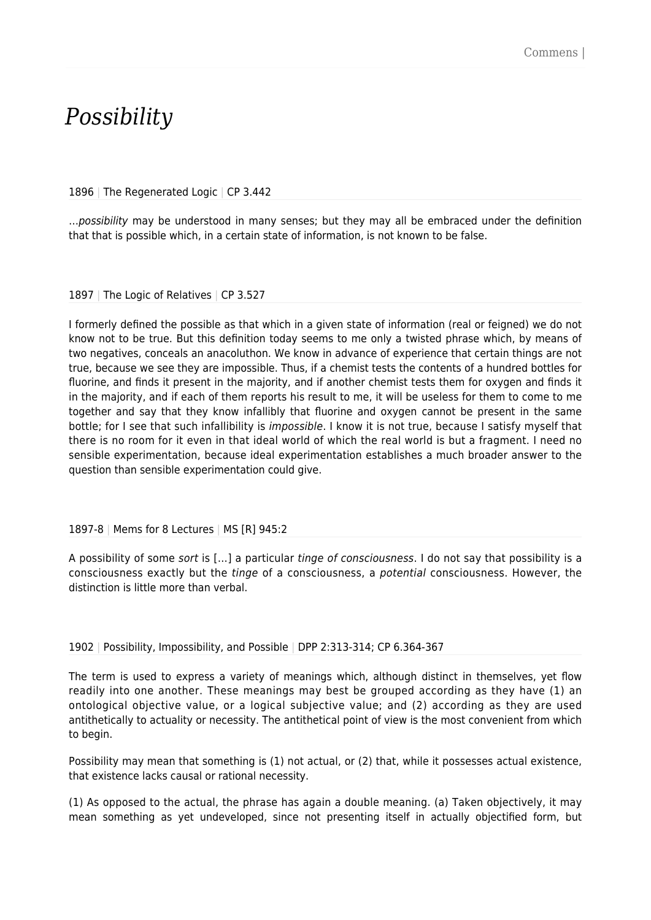# *Possibility*

1896 | The Regenerated Logic | CP 3.442

…possibility may be understood in many senses; but they may all be embraced under the definition that that is possible which, in a certain state of information, is not known to be false.

1897 | The Logic of Relatives | CP 3.527

I formerly defined the possible as that which in a given state of information (real or feigned) we do not know not to be true. But this definition today seems to me only a twisted phrase which, by means of two negatives, conceals an anacoluthon. We know in advance of experience that certain things are not true, because we see they are impossible. Thus, if a chemist tests the contents of a hundred bottles for fluorine, and finds it present in the majority, and if another chemist tests them for oxygen and finds it in the majority, and if each of them reports his result to me, it will be useless for them to come to me together and say that they know infallibly that fluorine and oxygen cannot be present in the same bottle; for I see that such infallibility is *impossible*. I know it is not true, because I satisfy myself that there is no room for it even in that ideal world of which the real world is but a fragment. I need no sensible experimentation, because ideal experimentation establishes a much broader answer to the question than sensible experimentation could give.

1897-8 | Mems for 8 Lectures | MS [R] 945:2

A possibility of some sort is […] a particular tinge of consciousness. I do not say that possibility is a consciousness exactly but the tinge of a consciousness, a potential consciousness. However, the distinction is little more than verbal.

#### 1902 | Possibility, Impossibility, and Possible | DPP 2:313-314; CP 6.364-367

The term is used to express a variety of meanings which, although distinct in themselves, yet flow readily into one another. These meanings may best be grouped according as they have (1) an ontological objective value, or a logical subjective value; and (2) according as they are used antithetically to actuality or necessity. The antithetical point of view is the most convenient from which to begin.

Possibility may mean that something is (1) not actual, or (2) that, while it possesses actual existence, that existence lacks causal or rational necessity.

(1) As opposed to the actual, the phrase has again a double meaning. (a) Taken objectively, it may mean something as yet undeveloped, since not presenting itself in actually objectified form, but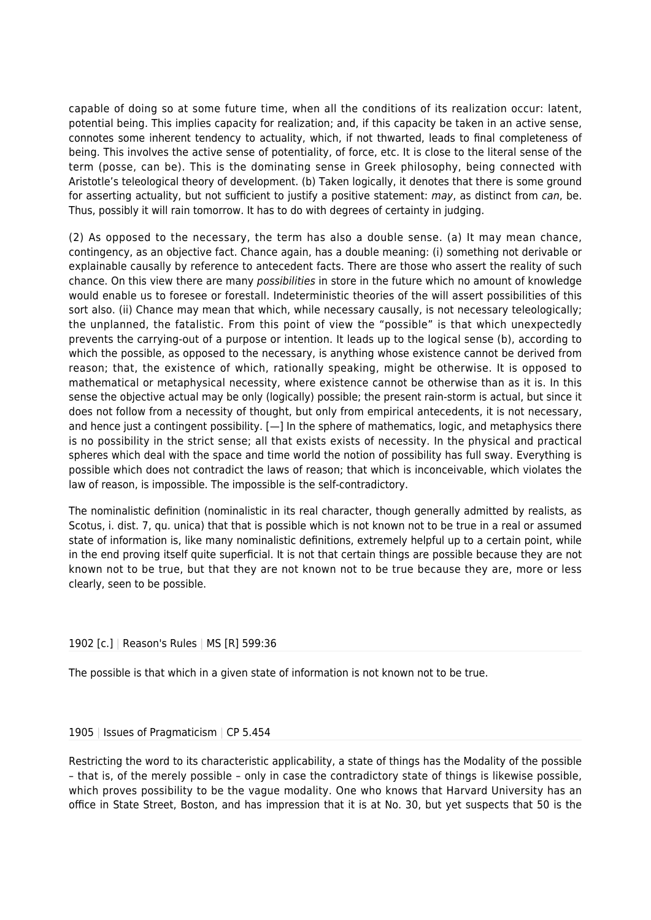capable of doing so at some future time, when all the conditions of its realization occur: latent, potential being. This implies capacity for realization; and, if this capacity be taken in an active sense, connotes some inherent tendency to actuality, which, if not thwarted, leads to final completeness of being. This involves the active sense of potentiality, of force, etc. It is close to the literal sense of the term (posse, can be). This is the dominating sense in Greek philosophy, being connected with Aristotle's teleological theory of development. (b) Taken logically, it denotes that there is some ground for asserting actuality, but not sufficient to justify a positive statement: may, as distinct from can, be. Thus, possibly it will rain tomorrow. It has to do with degrees of certainty in judging.

(2) As opposed to the necessary, the term has also a double sense. (a) It may mean chance, contingency, as an objective fact. Chance again, has a double meaning: (i) something not derivable or explainable causally by reference to antecedent facts. There are those who assert the reality of such chance. On this view there are many possibilities in store in the future which no amount of knowledge would enable us to foresee or forestall. Indeterministic theories of the will assert possibilities of this sort also. (ii) Chance may mean that which, while necessary causally, is not necessary teleologically; the unplanned, the fatalistic. From this point of view the "possible" is that which unexpectedly prevents the carrying-out of a purpose or intention. It leads up to the logical sense (b), according to which the possible, as opposed to the necessary, is anything whose existence cannot be derived from reason; that, the existence of which, rationally speaking, might be otherwise. It is opposed to mathematical or metaphysical necessity, where existence cannot be otherwise than as it is. In this sense the objective actual may be only (logically) possible; the present rain-storm is actual, but since it does not follow from a necessity of thought, but only from empirical antecedents, it is not necessary, and hence just a contingent possibility. [—] In the sphere of mathematics, logic, and metaphysics there is no possibility in the strict sense; all that exists exists of necessity. In the physical and practical spheres which deal with the space and time world the notion of possibility has full sway. Everything is possible which does not contradict the laws of reason; that which is inconceivable, which violates the law of reason, is impossible. The impossible is the self-contradictory.

The nominalistic definition (nominalistic in its real character, though generally admitted by realists, as Scotus, i. dist. 7, qu. unica) that that is possible which is not known not to be true in a real or assumed state of information is, like many nominalistic definitions, extremely helpful up to a certain point, while in the end proving itself quite superficial. It is not that certain things are possible because they are not known not to be true, but that they are not known not to be true because they are, more or less clearly, seen to be possible.

### 1902 [c.] | Reason's Rules | MS [R] 599:36

The possible is that which in a given state of information is not known not to be true.

1905 | Issues of Pragmaticism | CP 5.454

Restricting the word to its characteristic applicability, a state of things has the Modality of the possible – that is, of the merely possible – only in case the contradictory state of things is likewise possible, which proves possibility to be the vague modality. One who knows that Harvard University has an office in State Street, Boston, and has impression that it is at No. 30, but yet suspects that 50 is the